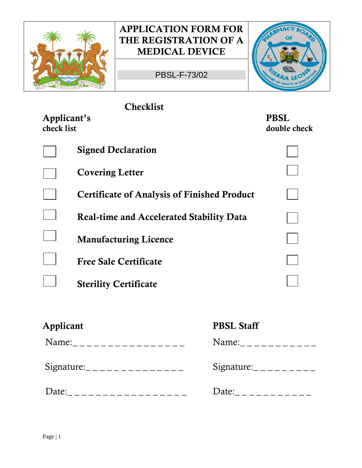

PBSL-F-73/02



# **Checklist**

| Applicant's<br>check list |                                                    | <b>PBSL</b><br>double check |
|---------------------------|----------------------------------------------------|-----------------------------|
|                           | <b>Signed Declaration</b>                          |                             |
|                           | <b>Covering Letter</b>                             |                             |
|                           | <b>Certificate of Analysis of Finished Product</b> |                             |
|                           | <b>Real-time and Accelerated Stability Data</b>    |                             |
|                           | <b>Manufacturing Licence</b>                       |                             |
|                           | <b>Free Sale Certificate</b>                       |                             |
|                           | <b>Sterility Certificate</b>                       |                             |
|                           |                                                    |                             |

| Applicant                                | <b>PBSL Staff</b>                                                                                                                                                                                                                                                                                                |
|------------------------------------------|------------------------------------------------------------------------------------------------------------------------------------------------------------------------------------------------------------------------------------------------------------------------------------------------------------------|
|                                          |                                                                                                                                                                                                                                                                                                                  |
| Signature: _ _ _ _ _ _ _ _ _ _ _ _ _ _ _ | Signature: $\frac{1}{2}$ $\frac{1}{2}$ $\frac{1}{2}$ $\frac{1}{2}$ $\frac{1}{2}$ $\frac{1}{2}$ $\frac{1}{2}$ $\frac{1}{2}$ $\frac{1}{2}$ $\frac{1}{2}$ $\frac{1}{2}$ $\frac{1}{2}$ $\frac{1}{2}$ $\frac{1}{2}$ $\frac{1}{2}$ $\frac{1}{2}$ $\frac{1}{2}$ $\frac{1}{2}$ $\frac{1}{2}$ $\frac{1}{2}$ $\frac{1}{2}$ |
| Date:<br>_ _ _ _ _ _ _ _ _ _ _ _ _ _ _ _ | Date: _ _ _ _ _ _ _ _ _ _ _                                                                                                                                                                                                                                                                                      |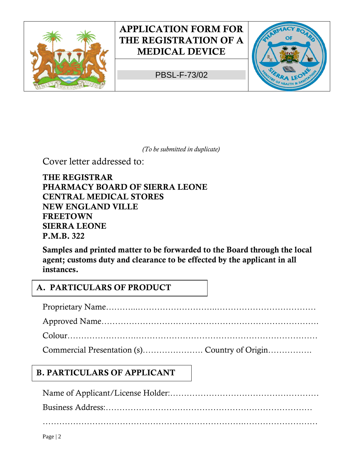

PBSL-F-73/02



*(To be submitted in duplicate)* 

Cover letter addressed to:

**THE REGISTRAR PHARMACY BOARD OF SIERRA LEONE CENTRAL MEDICAL STORES NEW ENGLAND VILLE FREETOWN SIERRA LEONE P.M.B. 322**

**Samples and printed matter to be forwarded to the Board through the local agent; customs duty and clearance to be effected by the applicant in all instances.** 

### **A. PARTICULARS OF PRODUCT**

Proprietary Name………...………………………..……………………………… Approved Name……………………………………………………………………. Colour…………………….…………………………………………………………

Commercial Presentation (s)…………………. Country of Origin…………….

### **B. PARTICULARS OF APPLICANT**

Name of Applicant/License Holder:………………………………………………

Business Address:…………………………………………………………………

……………………………………………………………….………………………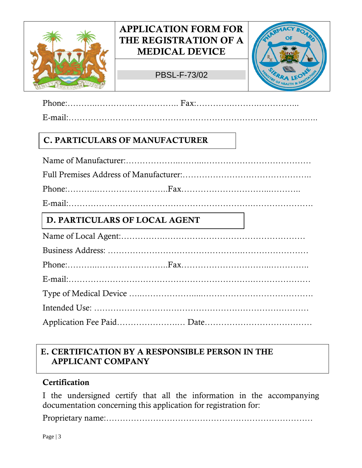

PBSL-F-73/02



### **C. PARTICULARS OF MANUFACTURER**

| <b>D. PARTICULARS OF LOCAL AGENT</b> |  |
|--------------------------------------|--|
|                                      |  |
|                                      |  |
|                                      |  |
|                                      |  |
|                                      |  |
|                                      |  |
|                                      |  |

### **E. CERTIFICATION BY A RESPONSIBLE PERSON IN THE APPLICANT COMPANY**

#### **Certification**

I the undersigned certify that all the information in the accompanying documentation concerning this application for registration for:

Proprietary name:…………………………………………………………………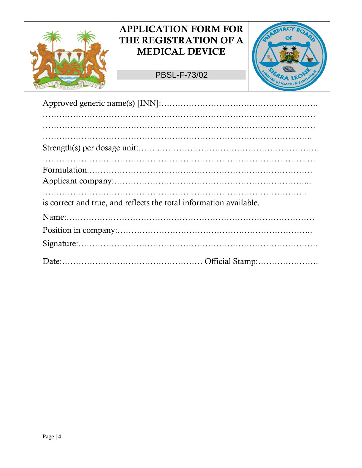

### PBSL-F-73/02



| is correct and true, and reflects the total information available. |
|--------------------------------------------------------------------|
|                                                                    |
|                                                                    |
|                                                                    |
|                                                                    |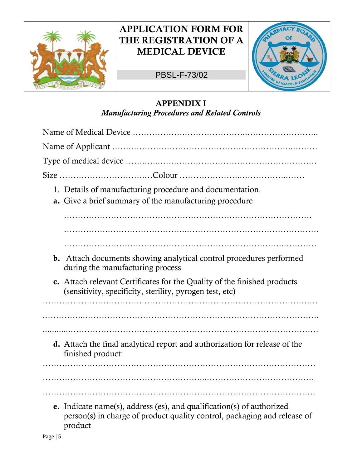

PBSL-F-73/02



### **APPENDIX I**  *Manufacturing Procedures and Related Controls*

| 1. Details of manufacturing procedure and documentation.<br>a. Give a brief summary of the manufacturing procedure                                                  |
|---------------------------------------------------------------------------------------------------------------------------------------------------------------------|
|                                                                                                                                                                     |
|                                                                                                                                                                     |
|                                                                                                                                                                     |
| <b>b.</b> Attach documents showing analytical control procedures performed<br>during the manufacturing process                                                      |
| c. Attach relevant Certificates for the Quality of the finished products<br>(sensitivity, specificity, sterility, pyrogen test, etc)                                |
|                                                                                                                                                                     |
|                                                                                                                                                                     |
| <b>d.</b> Attach the final analytical report and authorization for release of the<br>finished product:                                                              |
|                                                                                                                                                                     |
|                                                                                                                                                                     |
| <b>e.</b> Indicate name(s), address (es), and qualification(s) of authorized<br>person(s) in charge of product quality control, packaging and release of<br>product |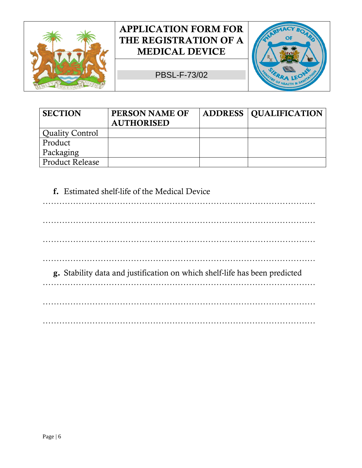

PBSL-F-73/02



| <b>SECTION</b>         | PERSON NAME OF<br><b>AUTHORISED</b> | <b>ADDRESS   QUALIFICATION</b> |
|------------------------|-------------------------------------|--------------------------------|
| <b>Quality Control</b> |                                     |                                |
| Product                |                                     |                                |
| Packaging              |                                     |                                |
| <b>Product Release</b> |                                     |                                |

**f.** Estimated shelf-life of the Medical Device ……………………………………………………………………………………… ……………………………………………………………………………………… ……………………………………………………………………………………… ……………………………………………………………………………………… **g.** Stability data and justification on which shelf-life has been predicted ……………………………………………………………………………………… ……………………………………………………………………………………… ………………………………………………………………………………………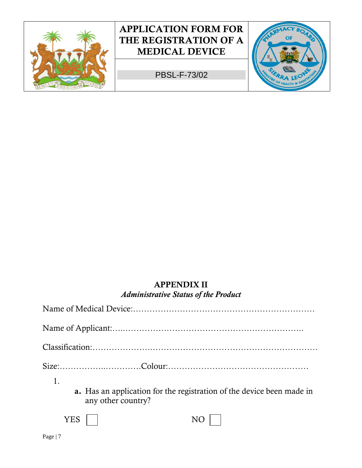

### **APPENDIX II**  *Administrative Status of the Product*

| 1.  | <b>a.</b> Has an application for the registration of the device been made in<br>any other country? |
|-----|----------------------------------------------------------------------------------------------------|
| YES |                                                                                                    |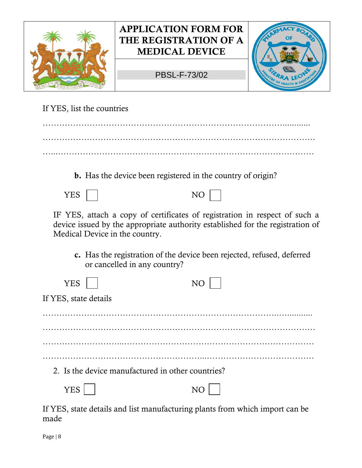

If YES, state details and list manufacturing plants from which import can be made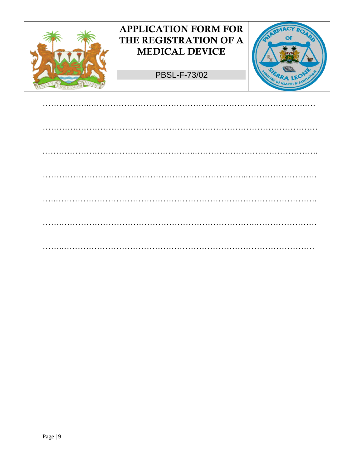

#### PBSL-F-73/02